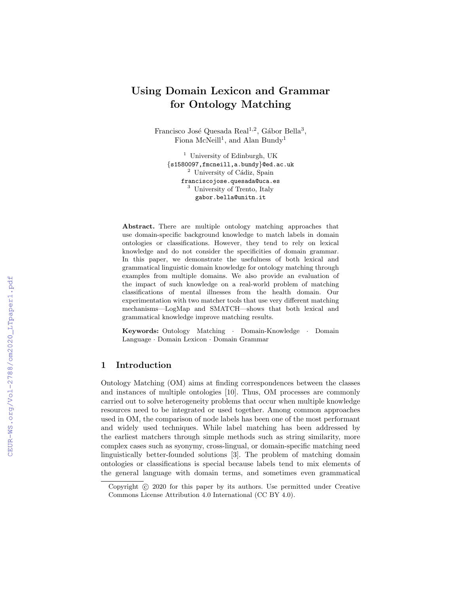# Using Domain Lexicon and Grammar for Ontology Matching

Francisco José Quesada Real<sup>1,2</sup>, Gábor Bella<sup>3</sup>, Fiona McNeill<sup>1</sup>, and Alan Bundy<sup>1</sup>

<sup>1</sup> University of Edinburgh, UK {s1580097,fmcneill,a.bundy}@ed.ac.uk  $2$  University of Cádiz, Spain franciscojose.quesada@uca.es <sup>3</sup> University of Trento, Italy gabor.bella@unitn.it

Abstract. There are multiple ontology matching approaches that use domain-specific background knowledge to match labels in domain ontologies or classifications. However, they tend to rely on lexical knowledge and do not consider the specificities of domain grammar. In this paper, we demonstrate the usefulness of both lexical and grammatical linguistic domain knowledge for ontology matching through examples from multiple domains. We also provide an evaluation of the impact of such knowledge on a real-world problem of matching classifications of mental illnesses from the health domain. Our experimentation with two matcher tools that use very different matching mechanisms—LogMap and SMATCH—shows that both lexical and grammatical knowledge improve matching results.

Keywords: Ontology Matching · Domain-Knowledge · Domain Language · Domain Lexicon · Domain Grammar

# 1 Introduction

Ontology Matching (OM) aims at finding correspondences between the classes and instances of multiple ontologies [10]. Thus, OM processes are commonly carried out to solve heterogeneity problems that occur when multiple knowledge resources need to be integrated or used together. Among common approaches used in OM, the comparison of node labels has been one of the most performant and widely used techniques. While label matching has been addressed by the earliest matchers through simple methods such as string similarity, more complex cases such as syonymy, cross-lingual, or domain-specific matching need linguistically better-founded solutions [3]. The problem of matching domain ontologies or classifications is special because labels tend to mix elements of the general language with domain terms, and sometimes even grammatical

Copyright (c) 2020 for this paper by its authors. Use permitted under Creative Commons License Attribution 4.0 International (CC BY 4.0).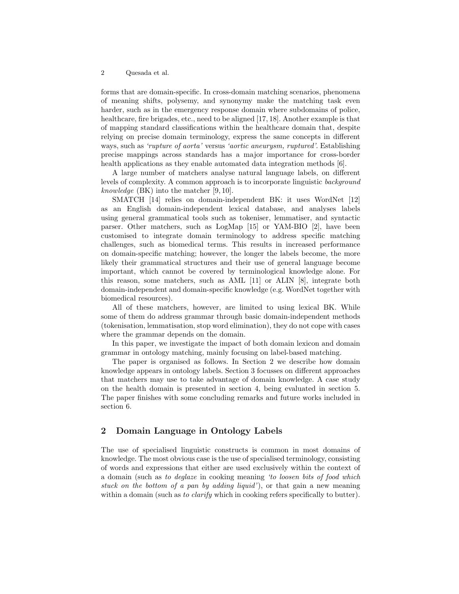forms that are domain-specific. In cross-domain matching scenarios, phenomena of meaning shifts, polysemy, and synonymy make the matching task even harder, such as in the emergency response domain where subdomains of police, healthcare, fire brigades, etc., need to be aligned [17, 18]. Another example is that of mapping standard classifications within the healthcare domain that, despite relying on precise domain terminology, express the same concepts in different ways, such as 'rupture of aorta' versus 'aortic aneurysm, ruptured'. Establishing precise mappings across standards has a major importance for cross-border health applications as they enable automated data integration methods [6].

A large number of matchers analyse natural language labels, on different levels of complexity. A common approach is to incorporate linguistic background knowledge (BK) into the matcher [9, 10].

SMATCH [14] relies on domain-independent BK: it uses WordNet [12] as an English domain-independent lexical database, and analyses labels using general grammatical tools such as tokeniser, lemmatiser, and syntactic parser. Other matchers, such as LogMap [15] or YAM-BIO [2], have been customised to integrate domain terminology to address specific matching challenges, such as biomedical terms. This results in increased performance on domain-specific matching; however, the longer the labels become, the more likely their grammatical structures and their use of general language become important, which cannot be covered by terminological knowledge alone. For this reason, some matchers, such as AML [11] or ALIN [8], integrate both domain-independent and domain-specific knowledge (e.g. WordNet together with biomedical resources).

All of these matchers, however, are limited to using lexical BK. While some of them do address grammar through basic domain-independent methods (tokenisation, lemmatisation, stop word elimination), they do not cope with cases where the grammar depends on the domain.

In this paper, we investigate the impact of both domain lexicon and domain grammar in ontology matching, mainly focusing on label-based matching.

The paper is organised as follows. In Section 2 we describe how domain knowledge appears in ontology labels. Section 3 focusses on different approaches that matchers may use to take advantage of domain knowledge. A case study on the health domain is presented in section 4, being evaluated in section 5. The paper finishes with some concluding remarks and future works included in section 6.

# 2 Domain Language in Ontology Labels

The use of specialised linguistic constructs is common in most domains of knowledge. The most obvious case is the use of specialised terminology, consisting of words and expressions that either are used exclusively within the context of a domain (such as to deglaze in cooking meaning 'to loosen bits of food which stuck on the bottom of a pan by adding liquid'), or that gain a new meaning within a domain (such as to clarify which in cooking refers specifically to butter).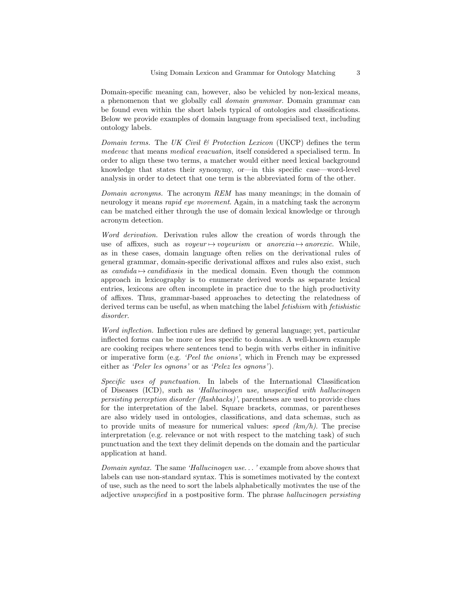Domain-specific meaning can, however, also be vehicled by non-lexical means, a phenomenon that we globally call domain grammar. Domain grammar can be found even within the short labels typical of ontologies and classifications. Below we provide examples of domain language from specialised text, including ontology labels.

Domain terms. The UK Civil  $\mathcal B$  Protection Lexicon (UKCP) defines the term medevac that means medical evacuation, itself considered a specialised term. In order to align these two terms, a matcher would either need lexical background knowledge that states their synonymy, or—in this specific case—word-level analysis in order to detect that one term is the abbreviated form of the other.

Domain acronyms. The acronym REM has many meanings; in the domain of neurology it means *rapid eye movement*. Again, in a matching task the acronym can be matched either through the use of domain lexical knowledge or through acronym detection.

Word derivation. Derivation rules allow the creation of words through the use of affixes, such as voyeur  $\mapsto$ voyeurism or anorexia  $\mapsto$ anorexic. While, as in these cases, domain language often relies on the derivational rules of general grammar, domain-specific derivational affixes and rules also exist, such as candida  $\rightarrow$  candidiasis in the medical domain. Even though the common approach in lexicography is to enumerate derived words as separate lexical entries, lexicons are often incomplete in practice due to the high productivity of affixes. Thus, grammar-based approaches to detecting the relatedness of derived terms can be useful, as when matching the label *fetishism* with *fetishistic* disorder.

Word inflection. Inflection rules are defined by general language; yet, particular inflected forms can be more or less specific to domains. A well-known example are cooking recipes where sentences tend to begin with verbs either in infinitive or imperative form (e.g. 'Peel the onions', which in French may be expressed either as 'Peler les ognons' or as 'Pelez les ognons').

Specific uses of punctuation. In labels of the International Classification of Diseases (ICD), such as 'Hallucinogen use, unspecified with hallucinogen persisting perception disorder (flashbacks)', parentheses are used to provide clues for the interpretation of the label. Square brackets, commas, or parentheses are also widely used in ontologies, classifications, and data schemas, such as to provide units of measure for numerical values: speed  $(km/h)$ . The precise interpretation (e.g. relevance or not with respect to the matching task) of such punctuation and the text they delimit depends on the domain and the particular application at hand.

Domain syntax. The same 'Hallucinogen use. . . ' example from above shows that labels can use non-standard syntax. This is sometimes motivated by the context of use, such as the need to sort the labels alphabetically motivates the use of the adjective unspecified in a postpositive form. The phrase hallucinogen persisting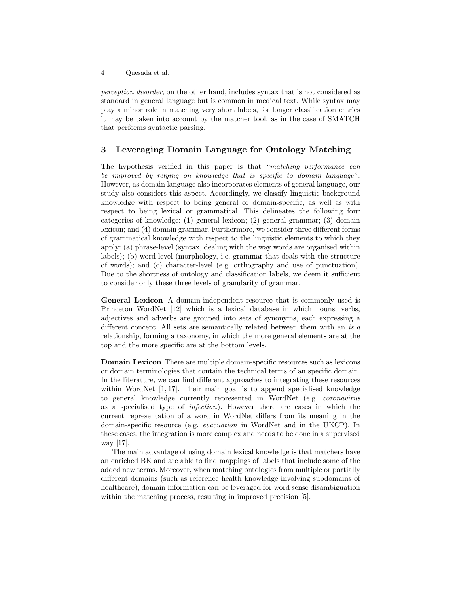perception disorder, on the other hand, includes syntax that is not considered as standard in general language but is common in medical text. While syntax may play a minor role in matching very short labels, for longer classification entries it may be taken into account by the matcher tool, as in the case of SMATCH that performs syntactic parsing.

## 3 Leveraging Domain Language for Ontology Matching

The hypothesis verified in this paper is that "matching performance can be improved by relying on knowledge that is specific to domain language". However, as domain language also incorporates elements of general language, our study also considers this aspect. Accordingly, we classify linguistic background knowledge with respect to being general or domain-specific, as well as with respect to being lexical or grammatical. This delineates the following four categories of knowledge: (1) general lexicon; (2) general grammar; (3) domain lexicon; and (4) domain grammar. Furthermore, we consider three different forms of grammatical knowledge with respect to the linguistic elements to which they apply: (a) phrase-level (syntax, dealing with the way words are organised within labels); (b) word-level (morphology, i.e. grammar that deals with the structure of words); and (c) character-level (e.g. orthography and use of punctuation). Due to the shortness of ontology and classification labels, we deem it sufficient to consider only these three levels of granularity of grammar.

General Lexicon A domain-independent resource that is commonly used is Princeton WordNet [12] which is a lexical database in which nouns, verbs, adjectives and adverbs are grouped into sets of synonyms, each expressing a different concept. All sets are semantically related between them with an  $is_4$ relationship, forming a taxonomy, in which the more general elements are at the top and the more specific are at the bottom levels.

Domain Lexicon There are multiple domain-specific resources such as lexicons or domain terminologies that contain the technical terms of an specific domain. In the literature, we can find different approaches to integrating these resources within WordNet  $[1, 17]$ . Their main goal is to append specialised knowledge to general knowledge currently represented in WordNet (e.g. coronavirus as a specialised type of infection). However there are cases in which the current representation of a word in WordNet differs from its meaning in the domain-specific resource (e.g. evacuation in WordNet and in the UKCP). In these cases, the integration is more complex and needs to be done in a supervised way [17].

The main advantage of using domain lexical knowledge is that matchers have an enriched BK and are able to find mappings of labels that include some of the added new terms. Moreover, when matching ontologies from multiple or partially different domains (such as reference health knowledge involving subdomains of healthcare), domain information can be leveraged for word sense disambiguation within the matching process, resulting in improved precision [5].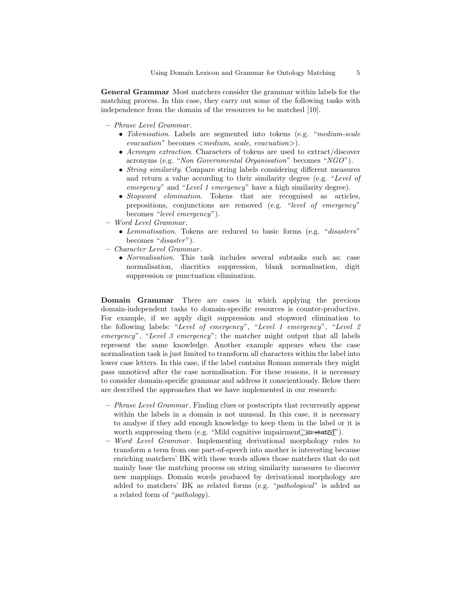General Grammar Most matchers consider the grammar within labels for the matching process. In this case, they carry out some of the following tasks with independence from the domain of the resources to be matched [10].

- Phrase Level Grammar .
	- Tokenisation. Labels are segmented into tokens (e.g. "medium-scale  $evacuation$ " becomes  $\leq medium$ , scale, evacuation $>$ ).
	- Acronym extraction. Characters of tokens are used to extract/discover acronyms (e.g. "Non Governmental Organisation" becomes "NGO").
	- String similarity. Compare string labels considering different measures and return a value according to their similarity degree (e.g. "Level of emergency" and "Level 1 emergency" have a high similarity degree).
	- Stopword elimination. Tokens that are recognised as articles, prepositions, conjunctions are removed (e.g. "level of emergency" becomes "level emergency").
- Word Level Grammar .
	- Lemmatisation. Tokens are reduced to basic forms (e.g. "disasters" becomes "disaster").
- Character Level Grammar .
	- Normalisation. This task includes several subtasks such as: case normalisation, diacritics suppression, blank normalisation, digit suppression or punctuation elimination.

Domain Grammar There are cases in which applying the previous domain-independent tasks to domain-specific resources is counter-productive. For example, if we apply digit suppression and stopword elimination to the following labels: "Level of emergency", "Level 1 emergency", "Level 2 emergency", "Level 3 emergency"; the matcher might output that all labels represent the same knowledge. Another example appears when the case normalisation task is just limited to transform all characters within the label into lower case letters. In this case, if the label contains Roman numerals they might pass unnoticed after the case normalisation. For these reasons, it is necessary to consider domain-specific grammar and address it conscientiously. Below there are described the approaches that we have implemented in our research:

- Phrase Level Grammar . Finding clues or postscripts that recurrently appear within the labels in a domain is not unusual. In this case, it is necessary to analyse if they add enough knowledge to keep them in the label or it is worth suppressing them (e.g. "Mild cognitive impairment, so stated").
- Word Level Grammar. Implementing derivational morphology rules to transform a term from one part-of-speech into another is interesting because enriching matchers' BK with these words allows those matchers that do not mainly base the matching process on string similarity measures to discover new mappings. Domain words produced by derivational morphology are added to matchers' BK as related forms (e.g. "pathological" is added as a related form of "pathology).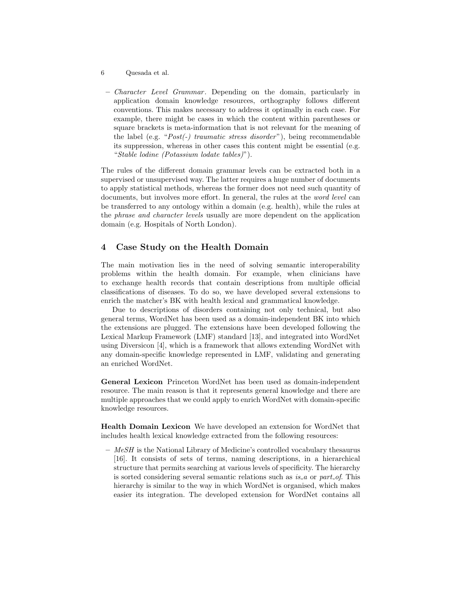- 6 Quesada et al.
- *Character Level Grammar*. Depending on the domain, particularly in application domain knowledge resources, orthography follows different conventions. This makes necessary to address it optimally in each case. For example, there might be cases in which the content within parentheses or square brackets is meta-information that is not relevant for the meaning of the label (e.g. "Post(-) traumatic stress disorder"), being recommendable its suppression, whereas in other cases this content might be essential (e.g. "Stable lodine (Potassium lodate tables)").

The rules of the different domain grammar levels can be extracted both in a supervised or unsupervised way. The latter requires a huge number of documents to apply statistical methods, whereas the former does not need such quantity of documents, but involves more effort. In general, the rules at the *word level* can be transferred to any ontology within a domain (e.g. health), while the rules at the phrase and character levels usually are more dependent on the application domain (e.g. Hospitals of North London).

# 4 Case Study on the Health Domain

The main motivation lies in the need of solving semantic interoperability problems within the health domain. For example, when clinicians have to exchange health records that contain descriptions from multiple official classifications of diseases. To do so, we have developed several extensions to enrich the matcher's BK with health lexical and grammatical knowledge.

Due to descriptions of disorders containing not only technical, but also general terms, WordNet has been used as a domain-independent BK into which the extensions are plugged. The extensions have been developed following the Lexical Markup Framework (LMF) standard [13], and integrated into WordNet using Diversicon [4], which is a framework that allows extending WordNet with any domain-specific knowledge represented in LMF, validating and generating an enriched WordNet.

General Lexicon Princeton WordNet has been used as domain-independent resource. The main reason is that it represents general knowledge and there are multiple approaches that we could apply to enrich WordNet with domain-specific knowledge resources.

Health Domain Lexicon We have developed an extension for WordNet that includes health lexical knowledge extracted from the following resources:

 $-$  MeSH is the National Library of Medicine's controlled vocabulary thesaurus [16]. It consists of sets of terms, naming descriptions, in a hierarchical structure that permits searching at various levels of specificity. The hierarchy is sorted considering several semantic relations such as *is* a or part of. This hierarchy is similar to the way in which WordNet is organised, which makes easier its integration. The developed extension for WordNet contains all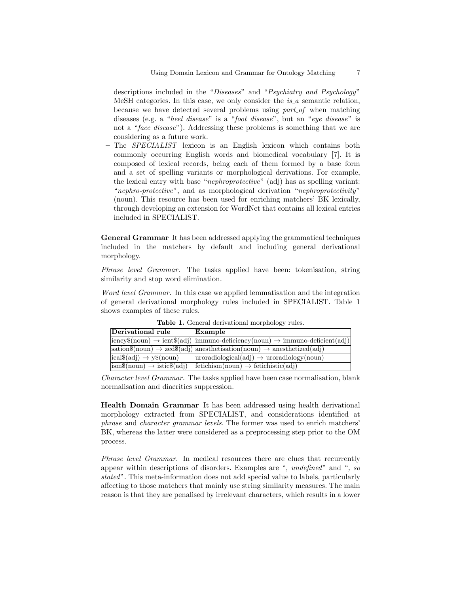descriptions included in the "Diseases" and "Psychiatry and Psychology" MeSH categories. In this case, we only consider the  $is_a$  semantic relation, because we have detected several problems using  $part_of$  when matching diseases (e.g. a "heel disease" is a "foot disease", but an "eye disease" is not a "*face disease*"). Addressing these problems is something that we are considering as a future work.

– The SPECIALIST lexicon is an English lexicon which contains both commonly occurring English words and biomedical vocabulary [7]. It is composed of lexical records, being each of them formed by a base form and a set of spelling variants or morphological derivations. For example, the lexical entry with base "nephroprotective" (adj) has as spelling variant: "nephro-protective", and as morphological derivation "nephroprotectivity" (noun). This resource has been used for enriching matchers' BK lexically, through developing an extension for WordNet that contains all lexical entries included in SPECIALIST.

General Grammar It has been addressed applying the grammatical techniques included in the matchers by default and including general derivational morphology.

Phrase level Grammar. The tasks applied have been: tokenisation, string similarity and stop word elimination.

Word level Grammar. In this case we applied lemmatisation and the integration of general derivational morphology rules included in SPECIALIST. Table 1 shows examples of these rules.

| Derivational rule                                        | Example                                                                                                                                        |
|----------------------------------------------------------|------------------------------------------------------------------------------------------------------------------------------------------------|
|                                                          | $ iency$(noun) \rightarrow ients(adj)  immuno-deficiency(noun) \rightarrow immuno-deficient(adj) $                                             |
|                                                          | $ sation\$(\text{noun}) \rightarrow \text{zed}\$(\text{adj})  \text{anesthetisation}(\text{noun}) \rightarrow \text{anesthetized}(\text{adj})$ |
| $\sqrt{[ical\$(adj) \rightarrow y\$(noun)}$              | $ uroradiological(adi) \rightarrow uroradiology(noun)$                                                                                         |
| $\vert \text{ism}\$ (noun) $\rightarrow$ istic $\$ (adj) | $ f_{\text{etichism}(noun)} \rightarrow f_{\text{etichistic}(adi)} $                                                                           |

Table 1. General derivational morphology rules.

Character level Grammar. The tasks applied have been case normalisation, blank normalisation and diacritics suppression.

Health Domain Grammar It has been addressed using health derivational morphology extracted from SPECIALIST, and considerations identified at phrase and character grammar levels. The former was used to enrich matchers' BK, whereas the latter were considered as a preprocessing step prior to the OM process.

Phrase level Grammar. In medical resources there are clues that recurrently appear within descriptions of disorders. Examples are ", undefined" and ", so stated". This meta-information does not add special value to labels, particularly affecting to those matchers that mainly use string similarity measures. The main reason is that they are penalised by irrelevant characters, which results in a lower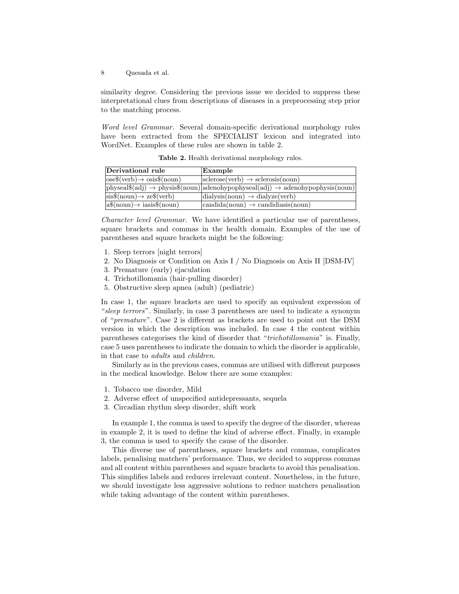similarity degree. Considering the previous issue we decided to suppress these interpretational clues from descriptions of diseases in a preprocessing step prior to the matching process.

Word level Grammar. Several domain-specific derivational morphology rules have been extracted from the SPECIALIST lexicon and integrated into WordNet. Examples of these rules are shown in table 2.

| Derivational rule                                                      | Example                                                                                                                       |
|------------------------------------------------------------------------|-------------------------------------------------------------------------------------------------------------------------------|
| $\cos(\text{verb}) \rightarrow \cos(\text{noun})$                      | $ {\rm sclerose}({\rm verb})\to{\rm sclerosis}({\rm noun})$                                                                   |
|                                                                        | $\vert$ physeal $\$(adj) \rightarrow$ physis $\$(noun) \vert$ adenohypophyseal $\{(adj) \rightarrow$ adenohypophysis $(noun)$ |
| $\ket{\text{sis}\text{\$(noun)} \rightarrow \text{ze}\text{\$(verb)}}$ | $\text{dialysis}(\text{noun}) \rightarrow \text{dialyze}(\text{verb})$                                                        |
| $ a\$(\text{noun}) \rightarrow iasis$(\text{noun})$                    | $\vert$ candida(noun) $\rightarrow$ candidiasis(noun)                                                                         |

Table 2. Health derivational morphology rules.

Character level Grammar. We have identified a particular use of parentheses, square brackets and commas in the health domain. Examples of the use of parentheses and square brackets might be the following:

- 1. Sleep terrors [night terrors]
- 2. No Diagnosis or Condition on Axis I / No Diagnosis on Axis II [DSM-IV]
- 3. Premature (early) ejaculation
- 4. Trichotillomania (hair-pulling disorder)
- 5. Obstructive sleep apnea (adult) (pediatric)

In case 1, the square brackets are used to specify an equivalent expression of "sleep terrors". Similarly, in case 3 parentheses are used to indicate a synonym of "premature". Case 2 is different as brackets are used to point out the DSM version in which the description was included. In case 4 the content within parentheses categorises the kind of disorder that "trichotillomania" is. Finally, case 5 uses parentheses to indicate the domain to which the disorder is applicable, in that case to adults and children.

Similarly as in the previous cases, commas are utilised with different purposes in the medical knowledge. Below there are some examples:

- 1. Tobacco use disorder, Mild
- 2. Adverse effect of unspecified antidepressants, sequela
- 3. Circadian rhythm sleep disorder, shift work

In example 1, the comma is used to specify the degree of the disorder, whereas in example 2, it is used to define the kind of adverse effect. Finally, in example 3, the comma is used to specify the cause of the disorder.

This diverse use of parentheses, square brackets and commas, complicates labels, penalising matchers' performance. Thus, we decided to suppress commas and all content within parentheses and square brackets to avoid this penalisation. This simplifies labels and reduces irrelevant content. Nonetheless, in the future, we should investigate less aggressive solutions to reduce matchers penalisation while taking advantage of the content within parentheses.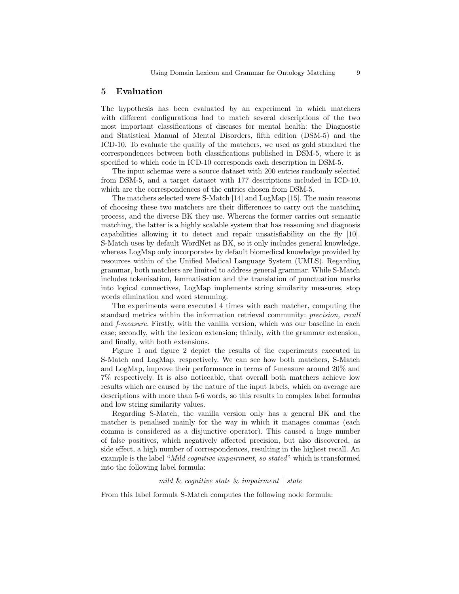### 5 Evaluation

The hypothesis has been evaluated by an experiment in which matchers with different configurations had to match several descriptions of the two most important classifications of diseases for mental health: the Diagnostic and Statistical Manual of Mental Disorders, fifth edition (DSM-5) and the ICD-10. To evaluate the quality of the matchers, we used as gold standard the correspondences between both classifications published in DSM-5, where it is specified to which code in ICD-10 corresponds each description in DSM-5.

The input schemas were a source dataset with 200 entries randomly selected from DSM-5, and a target dataset with 177 descriptions included in ICD-10, which are the correspondences of the entries chosen from DSM-5.

The matchers selected were S-Match [14] and LogMap [15]. The main reasons of choosing these two matchers are their differences to carry out the matching process, and the diverse BK they use. Whereas the former carries out semantic matching, the latter is a highly scalable system that has reasoning and diagnosis capabilities allowing it to detect and repair unsatisfiability on the fly [10]. S-Match uses by default WordNet as BK, so it only includes general knowledge, whereas LogMap only incorporates by default biomedical knowledge provided by resources within of the Unified Medical Language System (UMLS). Regarding grammar, both matchers are limited to address general grammar. While S-Match includes tokenisation, lemmatisation and the translation of punctuation marks into logical connectives, LogMap implements string similarity measures, stop words elimination and word stemming.

The experiments were executed 4 times with each matcher, computing the standard metrics within the information retrieval community: precision, recall and f-measure. Firstly, with the vanilla version, which was our baseline in each case; secondly, with the lexicon extension; thirdly, with the grammar extension, and finally, with both extensions.

Figure 1 and figure 2 depict the results of the experiments executed in S-Match and LogMap, respectively. We can see how both matchers, S-Match and LogMap, improve their performance in terms of f-measure around 20% and 7% respectively. It is also noticeable, that overall both matchers achieve low results which are caused by the nature of the input labels, which on average are descriptions with more than 5-6 words, so this results in complex label formulas and low string similarity values.

Regarding S-Match, the vanilla version only has a general BK and the matcher is penalised mainly for the way in which it manages commas (each comma is considered as a disjunctive operator). This caused a huge number of false positives, which negatively affected precision, but also discovered, as side effect, a high number of correspondences, resulting in the highest recall. An example is the label "Mild cognitive impairment, so stated" which is transformed into the following label formula:

#### mild & cognitive state & impairment | state

From this label formula S-Match computes the following node formula: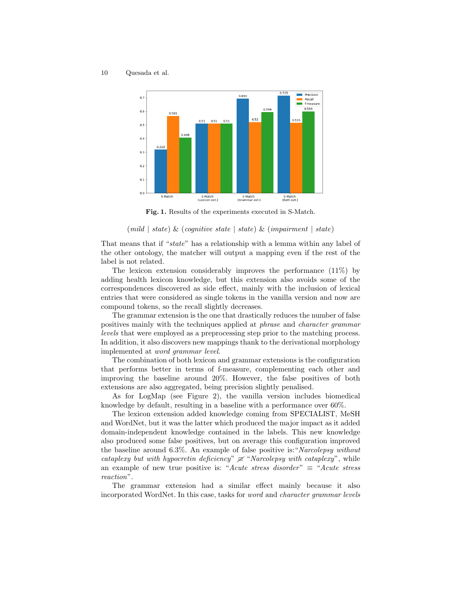

Fig. 1. Results of the experiments executed in S-Match.

#### $(mild \mid state) \& (coanitive state \mid state) \& (impairment \mid state)$

That means that if "state" has a relationship with a lemma within any label of the other ontology, the matcher will output a mapping even if the rest of the label is not related.

The lexicon extension considerably improves the performance (11%) by adding health lexicon knowledge, but this extension also avoids some of the correspondences discovered as side effect, mainly with the inclusion of lexical entries that were considered as single tokens in the vanilla version and now are compound tokens, so the recall slightly decreases.

The grammar extension is the one that drastically reduces the number of false positives mainly with the techniques applied at phrase and character grammar levels that were employed as a preprocessing step prior to the matching process. In addition, it also discovers new mappings thank to the derivational morphology implemented at word grammar level.

The combination of both lexicon and grammar extensions is the configuration that performs better in terms of f-measure, complementing each other and improving the baseline around 20%. However, the false positives of both extensions are also aggregated, being precision slightly penalised.

As for LogMap (see Figure 2), the vanilla version includes biomedical knowledge by default, resulting in a baseline with a performance over 60%.

The lexicon extension added knowledge coming from SPECIALIST, MeSH and WordNet, but it was the latter which produced the major impact as it added domain-independent knowledge contained in the labels. This new knowledge also produced some false positives, but on average this configuration improved the baseline around 6.3%. An example of false positive is:"Narcolepsy without cataplexy but with hypocretin deficiency"  $\neq$  "Narcolepsy with cataplexy", while an example of new true positive is: "Acute stress disorder"  $\equiv$  "Acute stress" reaction".

The grammar extension had a similar effect mainly because it also incorporated WordNet. In this case, tasks for word and character grammar levels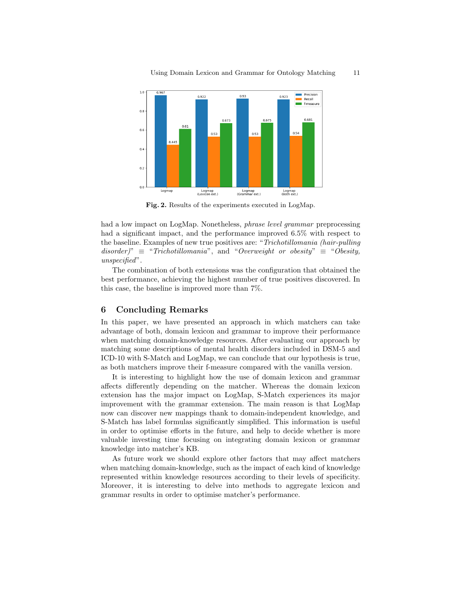

Fig. 2. Results of the experiments executed in LogMap.

had a low impact on LogMap. Nonetheless, phrase level grammar preprocessing had a significant impact, and the performance improved 6.5% with respect to the baseline. Examples of new true positives are: "Trichotillomania (hair-pulling disorder)"  $\equiv$  "Trichotillomania", and "Overweight or obesity"  $\equiv$  "Obesity, unspecified".

The combination of both extensions was the configuration that obtained the best performance, achieving the highest number of true positives discovered. In this case, the baseline is improved more than 7%.

## 6 Concluding Remarks

In this paper, we have presented an approach in which matchers can take advantage of both, domain lexicon and grammar to improve their performance when matching domain-knowledge resources. After evaluating our approach by matching some descriptions of mental health disorders included in DSM-5 and ICD-10 with S-Match and LogMap, we can conclude that our hypothesis is true, as both matchers improve their f-measure compared with the vanilla version.

It is interesting to highlight how the use of domain lexicon and grammar affects differently depending on the matcher. Whereas the domain lexicon extension has the major impact on LogMap, S-Match experiences its major improvement with the grammar extension. The main reason is that LogMap now can discover new mappings thank to domain-independent knowledge, and S-Match has label formulas significantly simplified. This information is useful in order to optimise efforts in the future, and help to decide whether is more valuable investing time focusing on integrating domain lexicon or grammar knowledge into matcher's KB.

As future work we should explore other factors that may affect matchers when matching domain-knowledge, such as the impact of each kind of knowledge represented within knowledge resources according to their levels of specificity. Moreover, it is interesting to delve into methods to aggregate lexicon and grammar results in order to optimise matcher's performance.